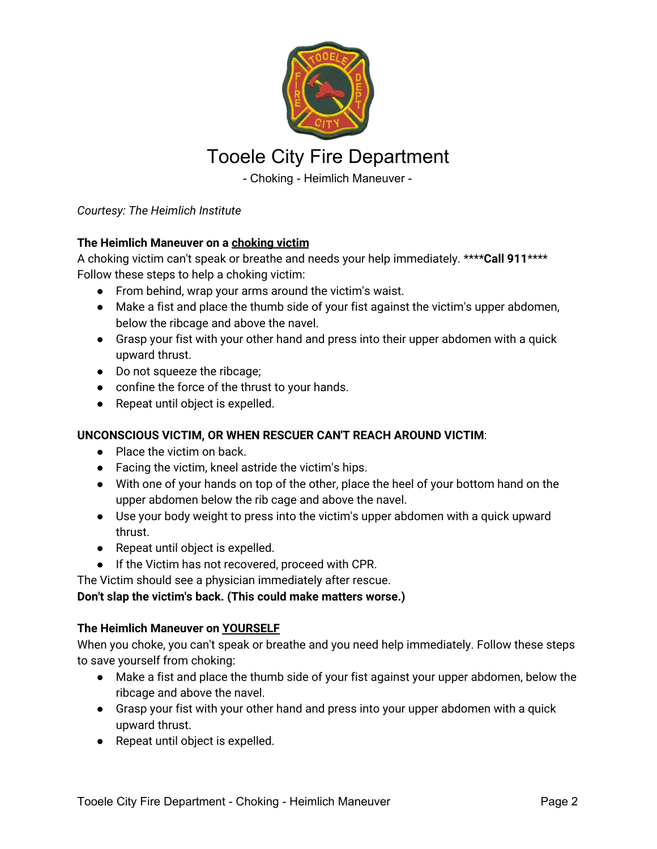

# Tooele City Fire Department

- Choking - Heimlich Maneuver -

*Courtesy: The Heimlich Institute*

### **The Heimlich Maneuver on a choking victim**

A choking victim can't speak or breathe and needs your help immediately. \*\*\*\***Call 911**\*\*\*\* Follow these steps to help a choking victim:

- From behind, wrap your arms around the victim's waist.
- Make a fist and place the thumb side of your fist against the victim's upper abdomen, below the ribcage and above the navel.
- Grasp your fist with your other hand and press into their upper abdomen with a quick upward thrust.
- Do not squeeze the ribcage;
- confine the force of the thrust to your hands.
- Repeat until object is expelled.

### **UNCONSCIOUS VICTIM, OR WHEN RESCUER CAN'T REACH AROUND VICTIM**:

- Place the victim on back.
- Facing the victim, kneel astride the victim's hips.
- With one of your hands on top of the other, place the heel of your bottom hand on the upper abdomen below the rib cage and above the navel.
- Use your body weight to press into the victim's upper abdomen with a quick upward thrust.
- Repeat until object is expelled.
- If the Victim has not recovered, proceed with CPR.

The Victim should see a physician immediately after rescue.

### **Don't slap the victim's back. (This could make matters worse.)**

### **The Heimlich Maneuver on YOURSELF**

When you choke, you can't speak or breathe and you need help immediately. Follow these steps to save yourself from choking:

- Make a fist and place the thumb side of your fist against your upper abdomen, below the ribcage and above the navel.
- Grasp your fist with your other hand and press into your upper abdomen with a quick upward thrust.
- Repeat until object is expelled.